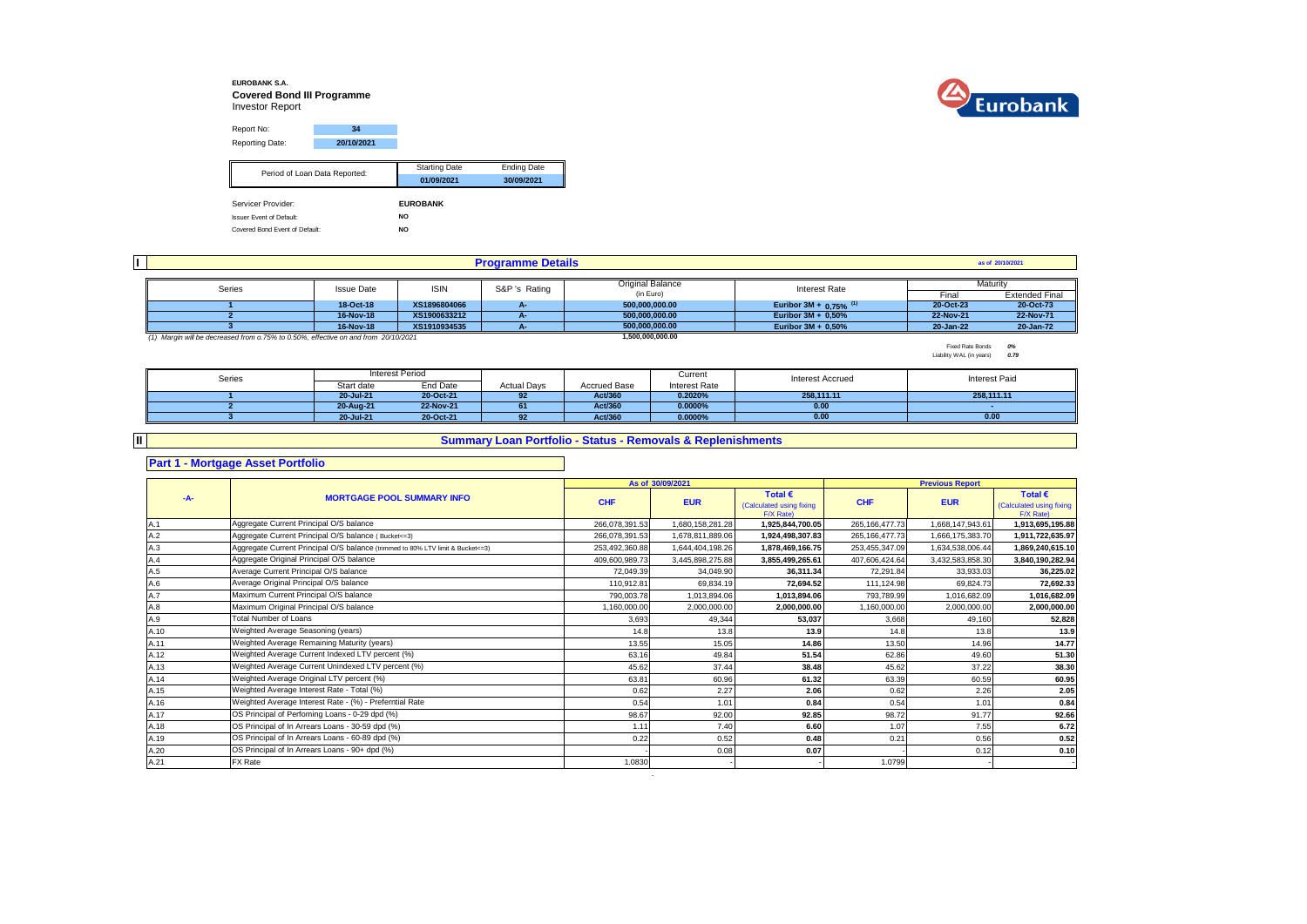### **EUROBANK S.A. Covered Bond III Programme** Investor Report



Report No: **34** Reporting Date: **20/10/2021** Starting Date Ending Date **01/09/2021 30/09/2021** Servicer Provider: **EUROBANK** Issuer Event of Default: **NO** Covered Bond Event of Default: **NO** Period of Loan Data Reported:

| II. |                                                                                    |                   |              | <b>Programme Details</b> |                  |                                      |           | as of 20/10/2021      |
|-----|------------------------------------------------------------------------------------|-------------------|--------------|--------------------------|------------------|--------------------------------------|-----------|-----------------------|
|     |                                                                                    |                   |              |                          |                  |                                      |           |                       |
|     | Series                                                                             | <b>Issue Date</b> | <b>ISIN</b>  | S&P 's Rating            | Original Balance | Interest Rate                        |           | Maturity              |
|     |                                                                                    |                   |              |                          | (in Euro)        |                                      | Final     | <b>Extended Final</b> |
|     |                                                                                    | 18-Oct-18         | XS1896804066 |                          | 500,000,000.00   | Euribor 3M + $0.75\%$ <sup>(1)</sup> | 20-Oct-23 | 20-Oct-73             |
|     |                                                                                    | 16-Nov-18         | XS1900633212 |                          | 500.000.000.00   | Euribor 3M + 0,50%                   | 22-Nov-21 | 22-Nov-71             |
|     |                                                                                    | 16-Nov-18         | XS1910934535 |                          | 500.000.000.00   | Euribor $3M + 0.50\%$                | 20-Jan-22 | 20-Jan-72             |
|     | (1) Margin will be decreased from o.75% to 0.50%, effective on and from 20/10/2021 |                   |              |                          | 1,500,000,000.00 |                                      |           |                       |

Fixed Rate Bonds *0%* Liability WAL (in years) *0.79*

| Series |            | Interest Period |                    |                     | Current       | <b>Interest Accrued</b> | Interest Paid |
|--------|------------|-----------------|--------------------|---------------------|---------------|-------------------------|---------------|
|        | Start date | End Date        | <b>Actual Days</b> | <b>Accrued Base</b> | Interest Rate |                         |               |
|        | 20-Jul-21  | 20-Oct-21       | 92                 | Act/360             | 0.2020%       | 258.111.11              | 258.111.11    |
|        | 20-Aug-21  | 22-Nov-21       | 61                 | Act/360             | 0.0000%       | 0.00                    |               |
|        | 20-Jul-21  | 20-Oct-21       | 92                 | Act/360             | 0.0000%       | 0.00                    | 0.00          |

## **Summary Loan Portfolio - Status - Removals & Replenishments**

## **Part 1 - Mortgage Asset Portfolio**

**II**

#### **As of** Total € **Total EXECUS Fotal EXECUS Fotal EXECUS Fotal EXECUS Fotal EXECUS** (Calculated using fixing **EUR CHF EUR**  $F/X$  Rate)<br>1.925.844.700.05 Calculated using fixing  $F/X$  Rate)<br>1.913.695.195.88 A.1 266,078,391.53 1,680,158,281.28 **1,925,844,700.05** 265,166,477.73 1,668,147,943.61 **1,913,695,195.88** Aggregate Current Principal O/S balance A.2 266,078,391.53 1,678,811,889.06 **1,924,498,307.83** 265,166,477.73 1,666,175,383.70 **1,911,722,635.97** Aggregate Current Principal O/S balance ( Bucket<=3) A.3 **253,455,347.09** 1,634,538,006.44 **1,869,240,615.10** 1,869,240,615.10 **1,889,240,615.10** 253,458,260,88 1,644,404,198.26 1,878,469,166.75 253,455,347.09 1,634,538,006.44 1,**869,240,615.10** A.4 409,600,989.73 3,445,898,275.88 **3,855,499,265.61** 407,606,424.64 3,432,583,858.30 **3,840,190,282.94** Aggregate Original Principal O/S balance A.5 72,049.39 34,049.90 **36,311.34** 72,291.84 33,933.03 **36,225.02** A.6 110,912.81 69,834.19 **72,694.52** 111,124.98 69,824.73 **72,692.33** Average Original Principal O/S balance A.7 790,003.78 1,013,894.06 **1,013,894.06** 793,789.99 1,016,682.09 **1,016,682.09** Maximum Current Principal O/S balance A.8 1,160,000.00 2,000,000.00 **2,000,000.00** 1,160,000.00 2,000,000.00 **2,000,000.00** Maximum Original Principal O/S balance A.9 3,693 49,344 **53,037** 3,668 49,160 **52,828** A.10 14.8 13.8 **13.9** 14.8 13.8 **13.9** Weighted Average Seasoning (years) A.11 13.55 15.05 **14.86** 13.50 14.96 **14.77** Weighted Average Remaining Maturity (years) A.12 63.16 49.84 **51.54** 62.86 49.60 **51.30** Weighted Average Current Indexed LTV percent (%) A.13 45.62 37.44 **38.48** 45.62 37.22 **38.30** Weighted Average Current Unindexed LTV percent (%) A.14 63.81 60.96 **61.32** 63.39 60.59 **60.95** Weighted Average Original LTV percent (%) A.15 0.62 2.27 **2.06** 0.62 2.26 **2.05** Weighted Average Interest Rate - Total (%) A.16 0.54 1.01 **0.84** 0.54 1.01 **0.84** Weighted Average Interest Rate - (%) - Preferntial Rate A.17 98.67 92.00 **92.85** 98.72 91.77 **92.66** OS Principal of Perfoming Loans - 0-29 dpd (%) A.18 1.11 7.40 **6.60** 1.07 7.55 **6.72** OS Principal of In Arrears Loans - 30-59 dpd (%) A.19 0.22 0.52 **0.48** 0.21 0.56 **0.52** OS Principal of In Arrears Loans - 60-89 dpd (%) A.20 - 0.08 **0.07** - 0.12 **0.10** OS Principal of In Arrears Loans - 90+ dpd (%) A.21 1.0830 - - 1.0799 - - **-A- MORTGAGE POOL SUMMARY INFO 30/09/2021 Previous Report CHF Average Current Principal O/S balance** Total Number of Loans FX Rate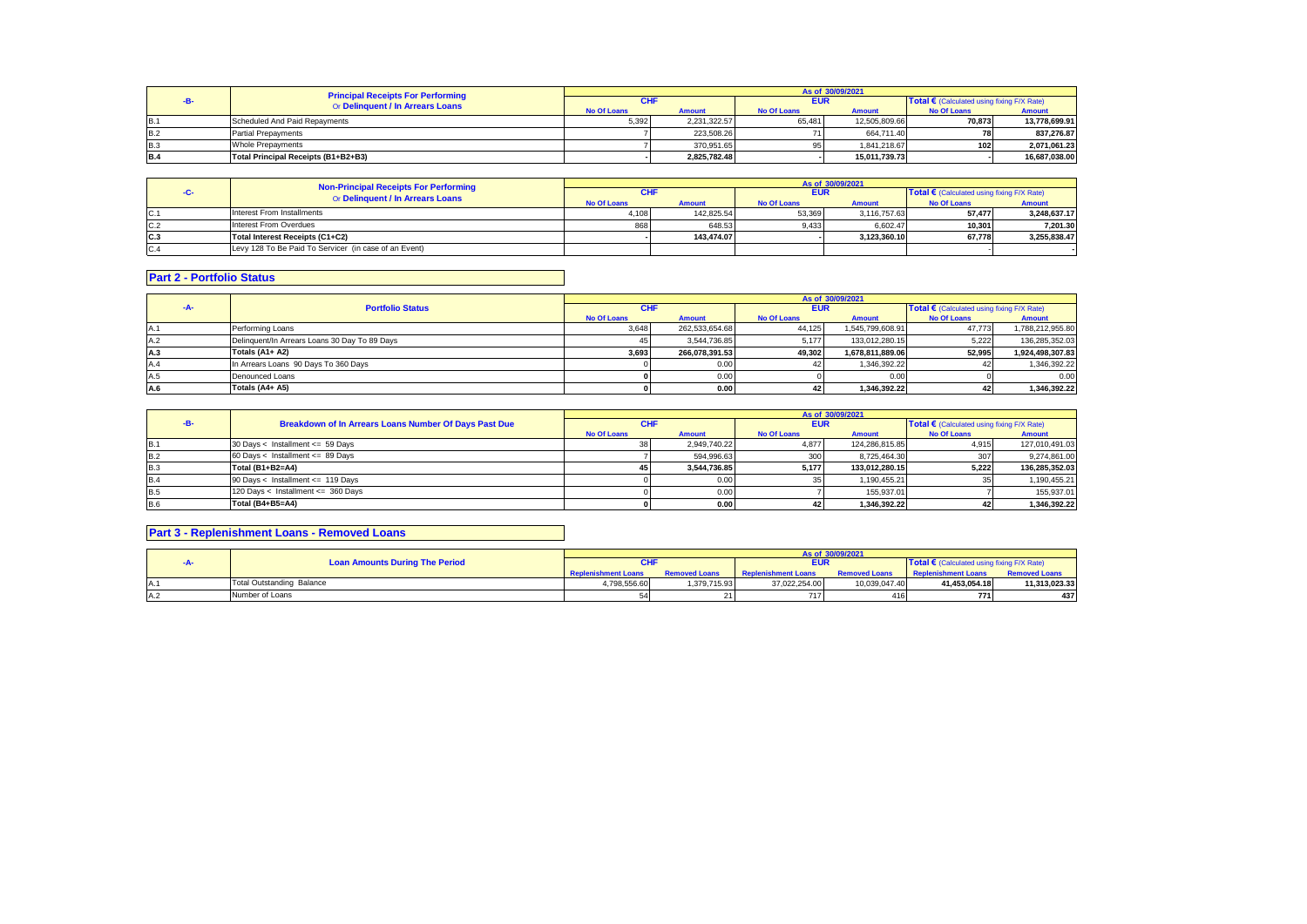|            | <b>Principal Receipts For Performing</b> |                    |               |                    | As of 30/09/2021 |                                            |               |
|------------|------------------------------------------|--------------------|---------------|--------------------|------------------|--------------------------------------------|---------------|
|            | Or Delinquent / In Arrears Loans         | CHI                |               | <b>EUR</b>         |                  | Total € (Calculated using fixing F/X Rate) |               |
|            |                                          | <b>No Of Loans</b> | <b>Amount</b> | <b>No Of Loans</b> | <b>Amount</b>    | <b>No Of Loans</b>                         | <b>Amount</b> |
| <b>B.1</b> | Scheduled And Paid Repayments            | 5.392              | 2.231.322.57  | 65.481             | 12.505.809.66    | 70.873                                     | 13.778.699.91 |
| <b>B.2</b> | <b>Partial Prepayments</b>               |                    | 223.508.26    |                    | 664.711.40       |                                            | 837.276.87    |
| <b>B.3</b> | <b>Whole Prepayments</b>                 |                    | 370.951.65    | 951                | 1.841.218.67     | 102 <sub>1</sub>                           | 2.071.061.23  |
| <b>B.4</b> | Total Principal Receipts (B1+B2+B3)      |                    | 2.825.782.48  |                    | 15.011.739.73    |                                            | 16.687.038.00 |

|     | Non-Principal Receipts For Performing                 |                    |               |                                                          | As of 30/09/2021 |                    |               |
|-----|-------------------------------------------------------|--------------------|---------------|----------------------------------------------------------|------------------|--------------------|---------------|
|     | Or Delinquent / In Arrears Loans                      | CHI                |               | Total € (Calculated using fixing F/X Rate)<br><b>EUR</b> |                  |                    |               |
|     |                                                       | <b>No Of Loans</b> | <b>Amount</b> | <b>No Of Loans</b>                                       | <b>Amount</b>    | <b>No Of Loans</b> | <b>Amount</b> |
| C.1 | Interest From Installments                            | 4.108              | 142.825.54    | 53.369                                                   | 3.116.757.63     | 57.477             | 3.248.637.17  |
| C.2 | Interest From Overdues                                | 868                | 648.53        | 9.433                                                    | 6.602.47         | 10.3011            | 7.201.30      |
| C.3 | Total Interest Receipts (C1+C2)                       |                    | 143.474.07    |                                                          | 3.123.360.10     | 67.778             | 3.255.838.47  |
| C.4 | Levy 128 To Be Paid To Servicer (in case of an Event) |                    |               |                                                          |                  |                    |               |

# **Part 2 - Portfolio Status**

|      |                                               |                    |                |                    | As of 30/09/2021 |                                                     |                  |
|------|-----------------------------------------------|--------------------|----------------|--------------------|------------------|-----------------------------------------------------|------------------|
| -A-  | <b>Portfolio Status</b>                       | <b>CHF</b>         |                | <b>EUR</b>         |                  | Total $\epsilon$ (Calculated using fixing F/X Rate) |                  |
|      |                                               | <b>No Of Loans</b> | <b>Amount</b>  | <b>No Of Loans</b> | <b>Amount</b>    | <b>No Of Loans</b>                                  | Amount           |
| IA.1 | Performing Loans                              | 3,648              | 262,533,654.68 | 44,125             | 1,545,799,608.91 | 47.773                                              | 1,788,212,955.80 |
| A.2  | Delinquent/In Arrears Loans 30 Day To 89 Days | 45.                | 3.544.736.85   | 5.177              | 133.012.280.15   | 5.222                                               | 136.285.352.03   |
| A.3  | Totals (A1+ A2)                               | 3.693              | 266.078.391.53 | 49.302             | 1.678.811.889.06 | 52.995                                              | 1.924.498.307.83 |
| A.4  | In Arrears Loans 90 Days To 360 Days          |                    | 0.00           |                    | 1,346,392.22     |                                                     | 1,346,392.22     |
| A.5  | Denounced Loans                               |                    | 0.00           |                    | 0.00             |                                                     | 0.00             |
| A.6  | Totals (A4+ A5)                               |                    | 0.00           |                    | 1.346.392.22     |                                                     | 1,346,392.22     |

|            |                                                       |                    |               |                    | As of 30/09/2021 |                                                     |                |
|------------|-------------------------------------------------------|--------------------|---------------|--------------------|------------------|-----------------------------------------------------|----------------|
|            | Breakdown of In Arrears Loans Number Of Days Past Due | <b>CHF</b>         |               | <b>EUR</b>         |                  | Total $\epsilon$ (Calculated using fixing F/X Rate) |                |
|            |                                                       | <b>No Of Loans</b> | <b>Amount</b> | <b>No Of Loans</b> | <b>Amount</b>    | <b>No Of Loans</b>                                  | <b>Amount</b>  |
| <b>B.1</b> | 30 Days < Installment <= 59 Days                      |                    | 2.949.740.22  | 4.877              | 124.286.815.85   | 4.915                                               | 127,010,491.03 |
| <b>B.2</b> | 60 Days < Installment <= 89 Days                      |                    | 594.996.63    | 300                | 8.725.464.30     |                                                     | 9,274,861.00   |
| <b>B.3</b> | Total (B1+B2=A4)                                      | 45 I               | 3.544.736.85  | 5.177              | 133.012.280.15   | 5.222                                               | 136.285.352.03 |
| <b>B.4</b> | 90 Days < Installment <= 119 Days                     |                    | 0.00          | 35                 | 1.190.455.21     |                                                     | 1,190,455.21   |
| <b>B.5</b> | 120 Days < Installment <= 360 Days                    |                    | 0.00          |                    | 155.937.01       |                                                     | 155,937.01     |
| <b>B.6</b> | Total (B4+B5=A4)                                      |                    | 0.00          | 42                 | 1.346.392.22     |                                                     | 1,346,392.22   |

# **Part 3 - Replenishment Loans - Removed Loans**

|  |                                       |                            |                      |                            | As of 30/09/2021     |                                            |                      |
|--|---------------------------------------|----------------------------|----------------------|----------------------------|----------------------|--------------------------------------------|----------------------|
|  | <b>Loan Amounts During The Period</b> |                            |                      | <b>EUR</b>                 |                      | Total € (Calculated using fixing F/X Rate) |                      |
|  |                                       | <b>Replenishment Loans</b> | <b>Removed Loans</b> | <b>Replenishment Loans</b> | <b>Removed Loans</b> | <b>Replenishment Loans</b>                 | <b>Removed Loans</b> |
|  | <b>Total Outstanding Balance</b>      | 4,798,556.60               | 1.379.715.93         | 37.022.254.00              | 10.039.047.40        | 41.453.054.18                              | 11,313,023.33        |
|  | Number of Loans                       |                            |                      | 7171                       |                      | 771                                        | 437                  |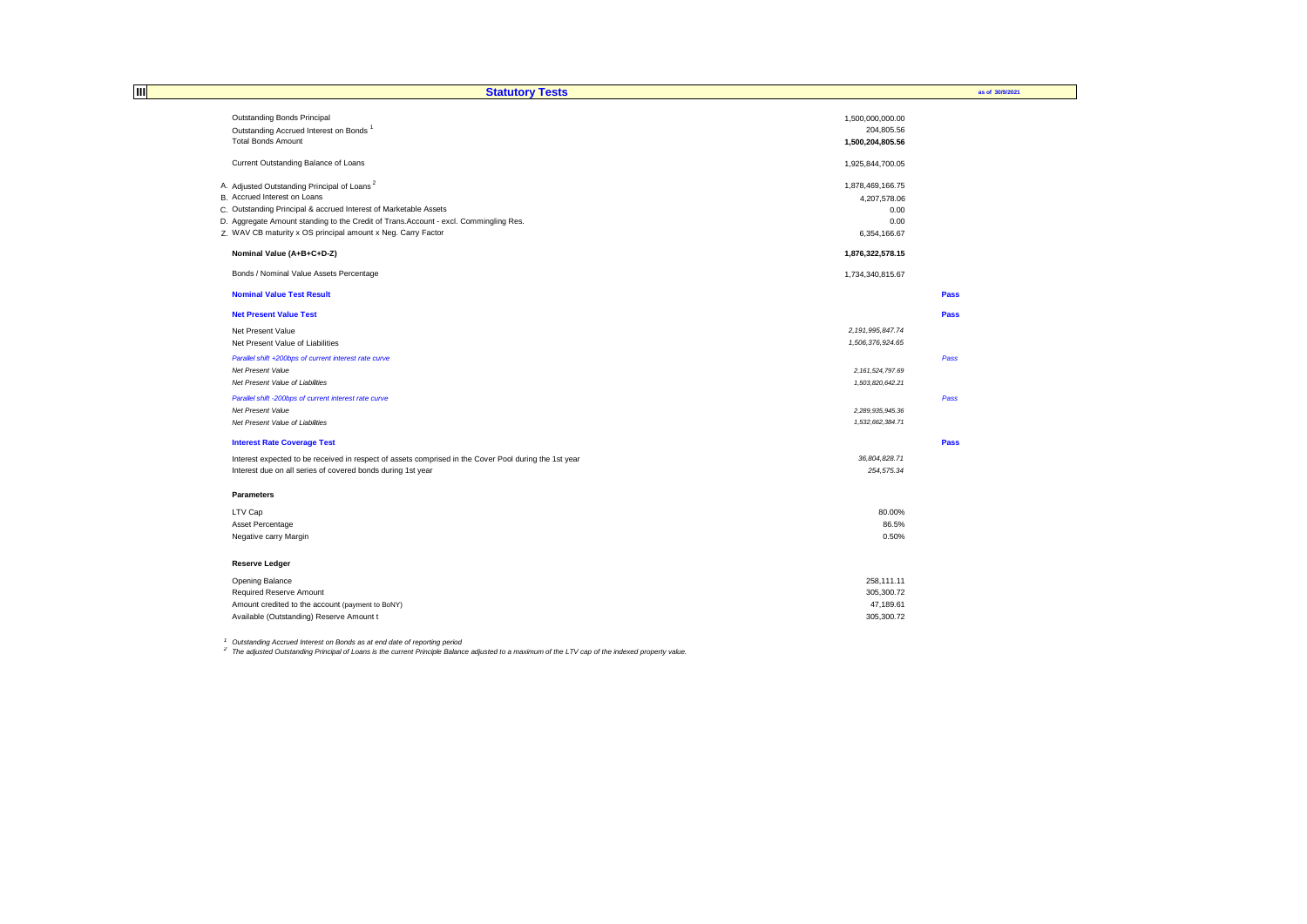| Ш | <b>Statutory Tests</b>                                                                                |                     | as of 30/9/2021 |
|---|-------------------------------------------------------------------------------------------------------|---------------------|-----------------|
|   | Outstanding Bonds Principal                                                                           | 1,500,000,000.00    |                 |
|   | Outstanding Accrued Interest on Bonds <sup>1</sup>                                                    | 204,805.56          |                 |
|   | <b>Total Bonds Amount</b>                                                                             | 1,500,204,805.56    |                 |
|   |                                                                                                       |                     |                 |
|   | Current Outstanding Balance of Loans                                                                  | 1,925,844,700.05    |                 |
|   | A. Adjusted Outstanding Principal of Loans <sup>2</sup>                                               | 1,878,469,166.75    |                 |
|   | B. Accrued Interest on Loans                                                                          | 4,207,578.06        |                 |
|   | C. Outstanding Principal & accrued Interest of Marketable Assets                                      | 0.00                |                 |
|   | D. Aggregate Amount standing to the Credit of Trans. Account - excl. Commingling Res.                 | 0.00                |                 |
|   | Z. WAV CB maturity x OS principal amount x Neg. Carry Factor                                          | 6,354,166.67        |                 |
|   | Nominal Value (A+B+C+D-Z)                                                                             | 1,876,322,578.15    |                 |
|   | Bonds / Nominal Value Assets Percentage                                                               | 1,734,340,815.67    |                 |
|   | <b>Nominal Value Test Result</b>                                                                      |                     | <b>Pass</b>     |
|   | <b>Net Present Value Test</b>                                                                         |                     | Pass            |
|   | Net Present Value                                                                                     | 2, 191, 995, 847.74 |                 |
|   | Net Present Value of Liabilities                                                                      | 1,506,376,924.65    |                 |
|   | Parallel shift +200bps of current interest rate curve                                                 |                     | Pass            |
|   | Net Present Value                                                                                     | 2, 161, 524, 797.69 |                 |
|   | Net Present Value of Liabilities                                                                      | 1,503,820,642.21    |                 |
|   | Parallel shift -200bps of current interest rate curve                                                 |                     | Pass            |
|   | Net Present Value                                                                                     | 2.289.935.945.36    |                 |
|   | Net Present Value of Liabilities                                                                      | 1,532,662,384.71    |                 |
|   | <b>Interest Rate Coverage Test</b>                                                                    |                     | Pass            |
|   | Interest expected to be received in respect of assets comprised in the Cover Pool during the 1st year | 36,804,828.71       |                 |
|   | Interest due on all series of covered bonds during 1st year                                           | 254,575.34          |                 |
|   | <b>Parameters</b>                                                                                     |                     |                 |
|   | LTV Cap                                                                                               | 80.00%              |                 |
|   | Asset Percentage                                                                                      | 86.5%               |                 |
|   | Negative carry Margin                                                                                 | 0.50%               |                 |
|   | <b>Reserve Ledger</b>                                                                                 |                     |                 |
|   | Opening Balance                                                                                       | 258,111.11          |                 |
|   | Required Reserve Amount                                                                               | 305,300.72          |                 |
|   | Amount credited to the account (payment to BoNY)                                                      | 47,189.61           |                 |
|   | Available (Outstanding) Reserve Amount t                                                              | 305,300.72          |                 |

<sup>1</sup> Outstanding Accrued Interest on Bonds as at end date of reporting period<br><sup>2</sup> The adjusted Outstanding Principal of Loans is the current Principle Balance adjusted to a maximum of the LTV cap of the indexed property val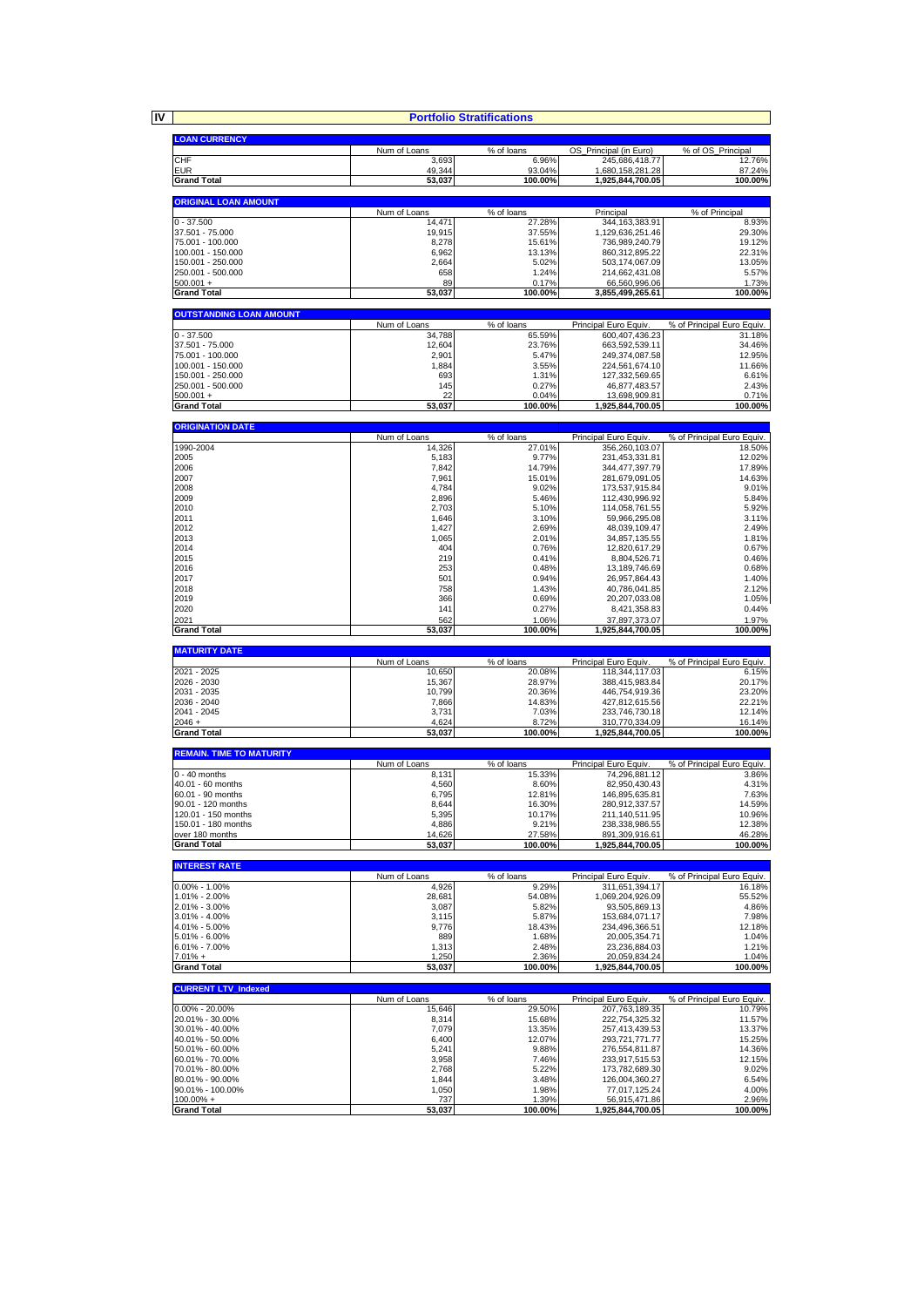**IV**

|                                        |                        | <b>Portfolio Stratifications</b> |                                         |                                      |
|----------------------------------------|------------------------|----------------------------------|-----------------------------------------|--------------------------------------|
|                                        |                        |                                  |                                         |                                      |
| <b>LOAN CURRENCY</b>                   | Num of Loans           | % of loans                       | OS Principal (in Euro)                  | % of OS_Principal                    |
| <b>CHF</b>                             | 3,693                  | 6.96%                            | 245,686,418.77                          | 12.76%                               |
| <b>EUR</b>                             | 49,344                 | 93.04%                           | 1,680,158,281.28                        | 87.24%                               |
| <b>Grand Total</b>                     | 53,037                 | 100.00%                          | 1,925,844,700.05                        | 100.00%                              |
| <b>ORIGINAL LOAN AMOUNT</b>            |                        |                                  |                                         |                                      |
|                                        | Num of Loans           | % of loans                       | Principal                               | % of Principal                       |
| $0 - 37.500$                           | 14,471                 | 27.28%                           | 344, 163, 383. 91                       | 8.93%                                |
| 37.501 - 75.000                        | 19,915                 | 37.55%                           | 1,129,636,251.46                        | 29.30%                               |
| 75.001 - 100.000<br>100.001 - 150.000  | 8,278<br>6,962         | 15.61%<br>13.13%                 | 736,989,240.79<br>860,312,895.22        | 19.12%<br>22.31%                     |
| 150.001 - 250.000                      | 2,664                  | 5.02%                            | 503,174,067.09                          | 13.05%                               |
| 250.001 - 500.000                      | 658                    | 1.24%                            | 214,662,431.08                          | 5.57%                                |
| $500.001 +$                            | 89                     | 0.17%                            | 66,560,996.06                           | 1.73%                                |
| <b>Grand Total</b>                     | 53,037                 | 100.00%                          | 3,855,499,265.61                        | 100.00%                              |
| <b>OUTSTANDING LOAN AMOUNT</b>         |                        |                                  |                                         |                                      |
|                                        | Num of Loans           | % of loans                       | Principal Euro Equiv.                   | % of Principal Euro Equiv.           |
| $0 - 37.500$<br>37.501 - 75.000        | 34,788                 | 65.59%                           | 600,407,436.23                          | 31.18%                               |
| 75.001 - 100.000                       | 12,604<br>2,901        | 23.76%<br>5.47%                  | 663,592,539.11<br>249,374,087.58        | 34.46%<br>12.95%                     |
| 100.001 - 150.000                      | 1,884                  | 3.55%                            | 224,561,674.10                          | 11.66%                               |
| 150.001 - 250.000                      | 693                    | 1.31%                            | 127,332,569.65                          | 6.61%                                |
| 250.001 - 500.000<br>$500.001 +$       | 145<br>22              | 0.27%<br>0.04%                   | 46,877,483.57<br>13,698,909.81          | 2.43%<br>0.71%                       |
| <b>Grand Total</b>                     | 53,037                 | 100.00%                          | 1,925,844,700.05                        | 100.00%                              |
|                                        |                        |                                  |                                         |                                      |
| <b>ORIGINATION DATE</b>                |                        |                                  |                                         |                                      |
| 1990-2004                              | Num of Loans<br>14,326 | % of loans<br>27.01%             | Principal Euro Equiv.<br>356,260,103.07 | % of Principal Euro Equiv.<br>18.50% |
| 2005                                   | 5,183                  | 9.77%                            | 231,453,331.81                          | 12.02%                               |
| 2006                                   | 7,842                  | 14.79%                           | 344,477,397.79                          | 17.89%                               |
| 2007                                   | 7,961                  | 15.01%                           | 281,679,091.05                          | 14.63%                               |
| 2008<br>2009                           | 4,784<br>2,896         | 9.02%<br>5.46%                   | 173,537,915.84<br>112,430,996.92        | 9.01%<br>5.84%                       |
| 2010                                   | 2,703                  | 5.10%                            | 114,058,761.55                          | 5.92%                                |
| 2011                                   | 1,646                  | 3.10%                            | 59,966,295.08                           | 3.11%                                |
| 2012                                   | 1,427                  | 2.69%                            | 48,039,109.47                           | 2.49%                                |
| 2013<br>2014                           | 1,065<br>404           | 2.01%<br>0.76%                   | 34,857,135.55<br>12,820,617.29          | 1.81%<br>0.67%                       |
| 2015                                   | 219                    | 0.41%                            | 8,804,526.71                            | 0.46%                                |
| 2016                                   | 253                    | 0.48%                            | 13, 189, 746.69                         | 0.68%                                |
| 2017                                   | 501                    | 0.94%                            | 26,957,864.43                           | 1.40%                                |
| 2018<br>2019                           | 758<br>366             | 1.43%<br>0.69%                   | 40,786,041.85<br>20,207,033.08          | 2.12%<br>1.05%                       |
| 2020                                   | 141                    | 0.27%                            | 8,421,358.83                            | 0.44%                                |
| 2021                                   | 562                    | 1.06%                            | 37,897,373.07                           | 1.97%                                |
| <b>Grand Total</b>                     | 53,037                 | 100.00%                          | 1,925,844,700.05                        | 100.00%                              |
| <b>MATURITY DATE</b>                   |                        |                                  |                                         |                                      |
|                                        | Num of Loans           | % of loans                       | Principal Euro Equiv                    | % of Principal Euro Equiv.           |
|                                        |                        |                                  |                                         |                                      |
| 2021 - 2025                            | 10,650                 | 20.08%                           | 118,344,117.03                          | 6.15%                                |
| 2026 - 2030                            | 15,367                 | 28.97%                           | 388,415,983.84                          | 20.17%                               |
| 2031 - 2035<br>2036 - 2040             | 10,799<br>7,866        | 20.36%<br>14.83%                 | 446,754,919.36<br>427,812,615.56        | 23.20%<br>22.21%                     |
| 2041 - 2045                            | 3,731                  | 7.03%                            | 233,746,730.18                          | 12.14%                               |
| $2046 +$                               | 4,624                  | 8.72%                            | 310,770,334.09                          | 16.14%                               |
| <b>Grand Total</b>                     | 53,037                 | 100.00%                          | 1,925,844,700.05                        | 100.00%                              |
| <b>REMAIN. TIME TO MATURITY</b>        |                        |                                  |                                         |                                      |
|                                        | Num of Loans           | % of loans                       | Principal Euro Equiv                    | % of Principal Euro Equiv.           |
| $0 - 40$ months<br>40.01 - 60 months   | 8,131<br>4,560         | 15.33%<br>8.60%                  | 74,296,881.12<br>82,950,430.43          | 3.86%<br>4.31%                       |
| 60.01 - 90 months                      | 6,795                  | 12.81%                           | 146,895,635.81                          | 7.63%                                |
| 90.01 - 120 months                     | 8.644                  | 16.30%                           | 280.912.337.57                          | 14.59%                               |
| 120.01 - 150 months                    | 5,395                  | 10.17%                           | 211,140,511.95                          | 10.96%                               |
| 150.01 - 180 months<br>over 180 months | 4,886<br>14,626        | 9.21%<br>27.58%                  | 238,338,986.55<br>891,309,916.61        | 12.38%<br>46.28%                     |
| <b>Grand Total</b>                     | 53,037                 | 100.00%                          | 1,925,844,700.05                        | 100.00%                              |
|                                        |                        |                                  |                                         |                                      |
| <b>INTEREST RATE</b>                   |                        |                                  |                                         |                                      |
| $0.00\% - 1.00\%$                      | Num of Loans<br>4,926  | % of loans<br>9.29%              | Principal Euro Equiv.<br>311,651,394.17 | % of Principal Euro Equiv.<br>16.18% |
| 1.01% - 2.00%                          | 28,681                 | 54.08%                           | 1,069,204,926.09                        | 55.52%                               |
| 2.01% - 3.00%                          | 3,087                  | 5.82%                            | 93,505,869.13                           | 4.86%                                |
| 3.01% - 4.00%                          | 3,115                  | 5.87%                            | 153,684,071.17                          | 7.98%                                |
| 4.01% - 5.00%<br>5.01% - 6.00%         | 9,776<br>889           | 18.43%<br>1.68%                  | 234,496,366.51<br>20,005,354.71         | 12.18%<br>1.04%                      |
| 6.01% - 7.00%                          | 1,313                  | 2.48%                            | 23,236,884.03                           | 1.21%                                |
| $7.01% +$                              | 1,250                  | 2.36%                            | 20,059,834.24                           | 1.04%                                |
| <b>Grand Total</b>                     | 53,037                 | 100.00%                          | 1,925,844,700.05                        | 100.00%                              |
| <b>CURRENT LTV Indexed</b>             |                        |                                  |                                         |                                      |
|                                        | Num of Loans           | % of loans                       | Principal Euro Equiv                    | % of Principal Euro Equiv.           |
| $0.00\% - 20.00\%$                     | 15,646                 | 29.50%                           | 207,763,189.35                          | 10.79%                               |
| 20.01% - 30.00%<br>30.01% - 40.00%     | 8,314<br>7,079         | 15.68%<br>13.35%                 | 222,754,325.32<br>257,413,439.53        | 11.57%<br>13.37%                     |
| 40.01% - 50.00%                        | 6,400                  | 12.07%                           | 293,721,771.77                          | 15.25%                               |
| 50.01% - 60.00%                        | 5,241                  | 9.88%                            | 276,554,811.87                          | 14.36%                               |
| 60.01% - 70.00%                        | 3,958                  | 7.46%                            | 233,917,515.53                          | 12.15%                               |
| 70.01% - 80.00%<br>80.01% - 90.00%     | 2,768<br>1,844         | 5.22%<br>3.48%                   | 173,782,689.30                          | 9.02%<br>6.54%                       |
| 90.01% - 100.00%                       | 1,050                  | 1.98%                            | 126,004,360.27<br>77,017,125.24         | 4.00%                                |
| $100.00\% +$<br><b>Grand Total</b>     | 737<br>53,037          | 1.39%<br>100.00%                 | 56,915,471.86<br>1,925,844,700.05       | 2.96%<br>100.00%                     |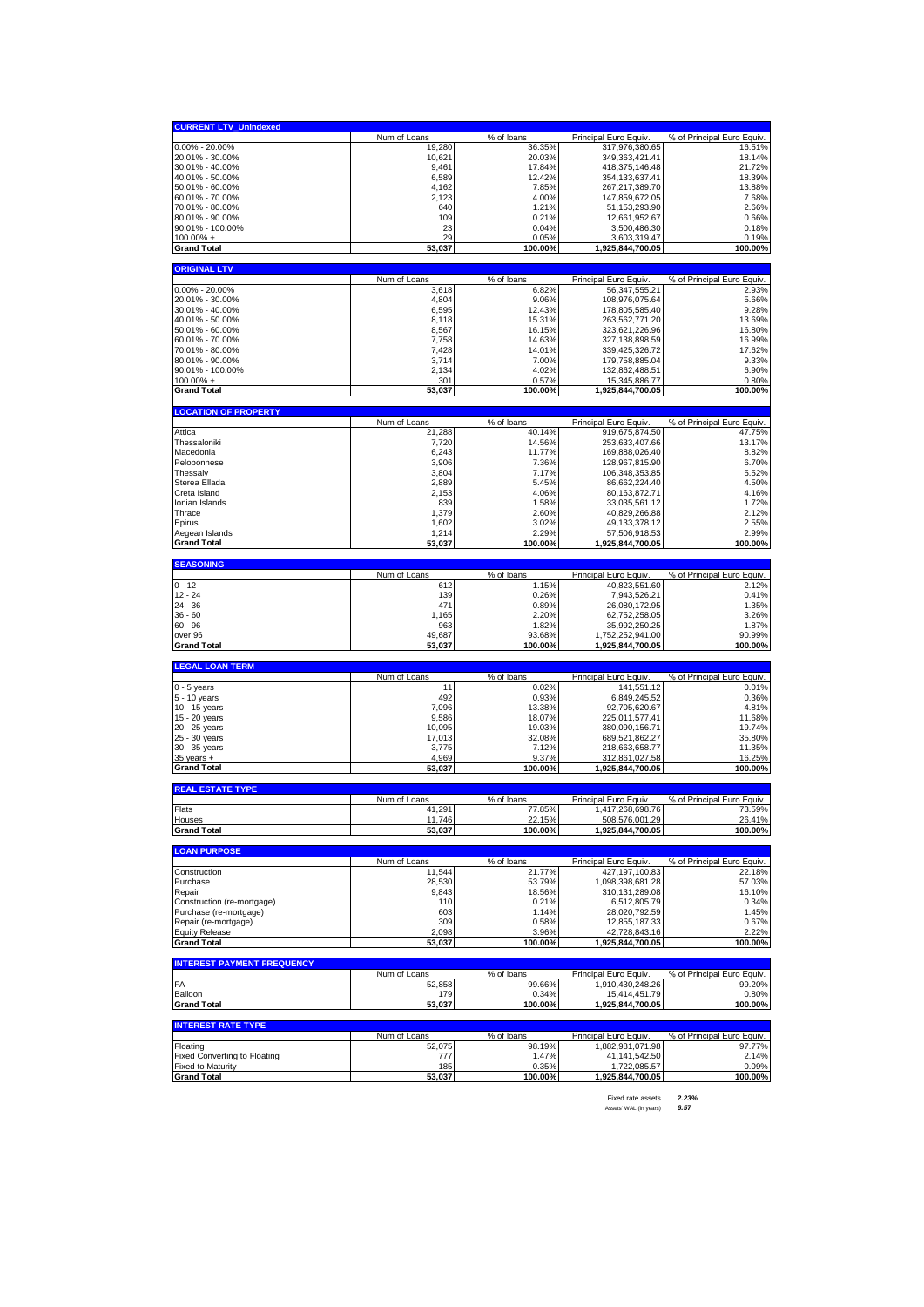| <b>CURRENT LTV_Unindexed</b>                                    |                        |                      |                                           |                                      |
|-----------------------------------------------------------------|------------------------|----------------------|-------------------------------------------|--------------------------------------|
|                                                                 | Num of Loans           | % of loans           | Principal Euro Equiv.                     | % of Principal Euro Equiv.           |
| $0.00\% - 20.00\%$                                              | 19,280                 | 36.35%               | 317,976,380.65                            | 16.51%                               |
| 20.01% - 30.00%<br>30.01% - 40.00%                              | 10,621<br>9,461        | 20.03%<br>17.84%     | 349, 363, 421.41<br>418,375,146.48        | 18.14%<br>21.72%                     |
| 40.01% - 50.00%                                                 | 6,589                  | 12.42%               | 354, 133, 637. 41                         | 18.39%                               |
| 50.01% - 60.00%                                                 | 4,162                  | 7.85%                | 267,217,389.70                            | 13.88%                               |
| 60.01% - 70.00%                                                 | 2,123                  | 4.00%                | 147,859,672.05                            | 7.68%                                |
| 70.01% - 80.00%<br>80.01% - 90.00%                              | 640<br>109             | 1.21%<br>0.21%       | 51, 153, 293. 90<br>12,661,952.67         | 2.66%<br>0.66%                       |
| 90.01% - 100.00%                                                | 23                     | 0.04%                | 3,500,486.30                              | 0.18%                                |
| $100.00\% +$                                                    | 29                     | 0.05%                | 3,603,319.47                              | 0.19%                                |
| <b>Grand Total</b>                                              | 53,037                 | 100.00%              | 1,925,844,700.05                          | 100.00%                              |
| <b>ORIGINAL LTV</b>                                             |                        |                      |                                           |                                      |
|                                                                 | Num of Loans           | % of loans           | Principal Euro Equiv.                     | % of Principal Euro Equiv.           |
| 0.00% - 20.00%                                                  | 3,618                  | 6.82%                | 56,347,555.21                             | 2.93%                                |
| 20.01% - 30.00%                                                 | 4,804                  | 9.06%                | 108,976,075.64<br>178.805.585.40          | 5.66%<br>9.28%                       |
| 30.01% - 40.00%<br>40.01% - 50.00%                              | 6,595<br>8,118         | 12.43%<br>15.31%     | 263,562,771.20                            | 13.69%                               |
| 50.01% - 60.00%                                                 | 8,567                  | 16.15%               | 323,621,226.96                            | 16.80%                               |
| 60.01% - 70.00%                                                 | 7,758                  | 14.63%               | 327, 138, 898.59                          | 16.99%                               |
| 70.01% - 80.00%                                                 | 7,428                  | 14.01%               | 339,425,326.72                            | 17.62%                               |
| 80.01% - 90.00%                                                 | 3,714                  | 7.00%                | 179,758,885.04                            | 9.33%                                |
| 90.01% - 100.00%                                                | 2,134                  | 4.02%                | 132,862,488.51                            | 6.90%                                |
| $100.00\%$ +<br><b>Grand Total</b>                              | 301<br>53,037          | 0.57%<br>100.00%     | 15,345,886.77<br>1,925,844,700.05         | 0.80%<br>100.00%                     |
|                                                                 |                        |                      |                                           |                                      |
| <b>LOCATION OF PROPERTY</b>                                     |                        |                      |                                           |                                      |
| Attica                                                          | Num of Loans           | % of loans<br>40.14% | Principal Euro Equiv.<br>919,675,874.50   | % of Principal Euro Equiv.           |
| Thessaloniki                                                    | 21,288<br>7,720        | 14.56%               | 253,633,407.66                            | 47.75%<br>13.17%                     |
| Macedonia                                                       | 6,243                  | 11.77%               | 169,888,026.40                            | 8.82%                                |
| Peloponnese                                                     | 3,906                  | 7.36%                | 128,967,815.90                            | 6.70%                                |
| Thessaly                                                        | 3,804                  | 7.17%                | 106,348,353.85                            | 5.52%                                |
| Sterea Ellada                                                   | 2,889                  | 5.45%                | 86,662,224.40                             | 4.50%                                |
| Creta Island<br>Ionian Islands                                  | 2,153<br>839           | 4.06%<br>1.58%       | 80,163,872.71<br>33,035,561.12            | 4.16%<br>1.72%                       |
| Thrace                                                          | 1,379                  | 2.60%                | 40,829,266.88                             | 2.12%                                |
| Epirus                                                          | 1,602                  | 3.02%                | 49, 133, 378. 12                          | 2.55%                                |
| Aegean Islands                                                  | 1,214                  | 2.29%                | 57,506,918.53                             | 2.99%                                |
| <b>Grand Total</b>                                              | 53,037                 | 100.00%              | 1,925,844,700.05                          | 100.00%                              |
| <b>SEASONING</b>                                                |                        |                      |                                           |                                      |
|                                                                 | Num of Loans           | % of loans           | Principal Euro Equiv.                     | % of Principal Euro Equiv.           |
| $0 - 12$                                                        | 612                    | 1.15%                | 40,823,551.60                             | 2.12%                                |
| $12 - 24$                                                       |                        |                      |                                           |                                      |
|                                                                 | 139                    | 0.26%                | 7,943,526.21                              | 0.41%                                |
| 24 - 36                                                         | 471                    | 0.89%                | 26,080,172.95                             | 1.35%                                |
| $36 - 60$<br>$60 - 96$                                          | 1,165<br>963           | 2.20%<br>1.82%       | 62,752,258.05                             | 3.26%<br>1.87%                       |
| over 96                                                         | 49,687                 | 93.68%               | 35,992,250.25<br>1,752,252,941.00         | 90.99%                               |
| <b>Grand Total</b>                                              | 53,037                 | 100.00%              | 1,925,844,700.05                          | 100.00%                              |
| <b>LEGAL LOAN TERM</b>                                          |                        |                      |                                           |                                      |
|                                                                 | Num of Loans           | % of loans           | Principal Euro Equiv.                     | % of Principal Euro Equiv.           |
| $0 - 5$ years                                                   | 11                     | 0.02%                | 141,551.12                                | 0.01%                                |
| 5 - 10 years                                                    | 492                    | 0.93%                | 6,849,245.52                              | 0.36%                                |
| 10 - 15 years                                                   | 7,096                  | 13.38%<br>18.07%     | 92,705,620.67<br>225,011,577.41           | 4.81%<br>11.68%                      |
| 15 - 20 years<br>20 - 25 years                                  | 9,586<br>10,095        | 19.03%               | 380,090,156.71                            | 19.74%                               |
| 25 - 30 years                                                   | 17,013                 | 32.08%               | 689,521,862.27                            | 35.80%                               |
| 30 - 35 years                                                   | 3,775                  | 7.12%                | 218,663,658.77                            | 11.35%                               |
| $35$ years $+$                                                  | 4,969                  | 9.37%                | 312,861,027.58                            | 16.25%                               |
| <b>Grand Total</b>                                              | 53,037                 | 100.00%              | 1,925,844,700.05                          | 100.00%                              |
| <b>REAL ESTATE TYPE</b>                                         |                        |                      |                                           |                                      |
|                                                                 | Num of Loans           | % of loans           | Principal Euro Equiv                      | % of Principal Euro Equiv.           |
| Flats                                                           | 291<br>41              | 77.85%               | 1,417,268,698.76                          | 73.59%                               |
| Houses<br><b>Grand Total</b>                                    | 11,746<br>53,037       | 22.15%<br>100.00%    | 508,576,001.29<br>1,925,844,700.05        | 26.41%<br>100.00%                    |
|                                                                 |                        |                      |                                           |                                      |
| <b>LOAN PURPOSE</b>                                             |                        |                      |                                           |                                      |
| Construction                                                    | Num of Loans<br>11,544 | % of loans<br>21.77% | Principal Euro Equiv.<br>427, 197, 100.83 | % of Principal Euro Equiv.<br>22.18% |
| Purchase                                                        | 28,530                 | 53.79%               | 1,098,398,681.28                          | 57.03%                               |
| Repair                                                          | 9,843                  | 18.56%               | 310, 131, 289.08                          | 16.10%                               |
| Construction (re-mortgage)                                      | 110                    | 0.21%                | 6,512,805.79                              | 0.34%                                |
| Purchase (re-mortgage)                                          | 603                    | 1.14%                | 28,020,792.59                             | 1.45%                                |
| Repair (re-mortgage)<br><b>Equity Release</b>                   | 309<br>2,098           | 0.58%<br>3.96%       | 12,855,187.33<br>42,728,843.16            | 0.67%<br>2.22%                       |
| <b>Grand Total</b>                                              | 53,037                 | 100.00%              | 1,925,844,700.05                          | 100.00%                              |
|                                                                 |                        |                      |                                           |                                      |
| <b>INTEREST PAYMENT FREQUENCY</b>                               | Num of Loans           |                      | Principal Euro Equiv.                     | % of Principal Euro Equiv.           |
| FA                                                              | 52,858                 | % of loans<br>99.66% | 1,910,430,248.26                          | 99.20%                               |
| Balloon                                                         | 179                    | 0.34%                | 15,414,451.79                             | 0.80%                                |
| <b>Grand Total</b>                                              | 53,037                 | 100.00%              | 1,925,844,700.05                          | 100.00%                              |
| <b>INTEREST RATE TYPE</b>                                       |                        |                      |                                           |                                      |
|                                                                 | Num of Loans           | % of loans           | Principal Euro Equiv.                     | % of Principal Euro Equiv.           |
| Floating                                                        | 52,075                 | 98.19%               | 1,882,981,071.98                          | 97.77%                               |
| <b>Fixed Converting to Floating</b><br><b>Fixed to Maturity</b> | 777<br>185             | 1.47%<br>0.35%       | 41, 141, 542. 50<br>1,722,085.57          | 2.14%<br>0.09%                       |

Fixed rate assets *2.23%* Assets' WAL (in years) *6.57*